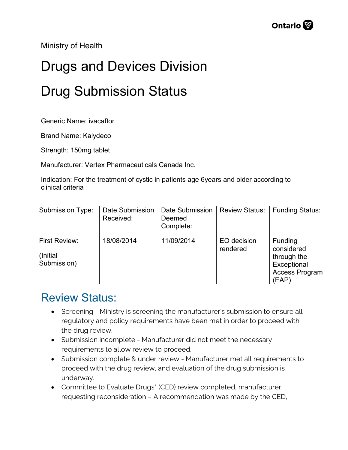Ministry of Health

## Drugs and Devices Division Drug Submission Status

Generic Name: ivacaftor

Brand Name: Kalydeco

Strength: 150mg tablet

Manufacturer: Vertex Pharmaceuticals Canada Inc.

Indication: For the treatment of cystic in patients age 6years and older according to clinical criteria

| <b>Submission Type:</b>                  | <b>Date Submission</b><br>Received: | Date Submission<br>Deemed<br>Complete: | <b>Review Status:</b>   | <b>Funding Status:</b>                                                         |
|------------------------------------------|-------------------------------------|----------------------------------------|-------------------------|--------------------------------------------------------------------------------|
| First Review:<br>(Initial<br>Submission) | 18/08/2014                          | 11/09/2014                             | EO decision<br>rendered | Funding<br>considered<br>through the<br>Exceptional<br>Access Program<br>(EAP) |

## Review Status:

- Screening Ministry is screening the manufacturer's submission to ensure all regulatory and policy requirements have been met in order to proceed with the drug review.
- Submission incomplete Manufacturer did not meet the necessary requirements to allow review to proceed.
- Submission complete & under review Manufacturer met all requirements to proceed with the drug review, and evaluation of the drug submission is underway.
- Committee to Evaluate Drugs\* (CED) review completed, manufacturer requesting reconsideration – A recommendation was made by the CED,